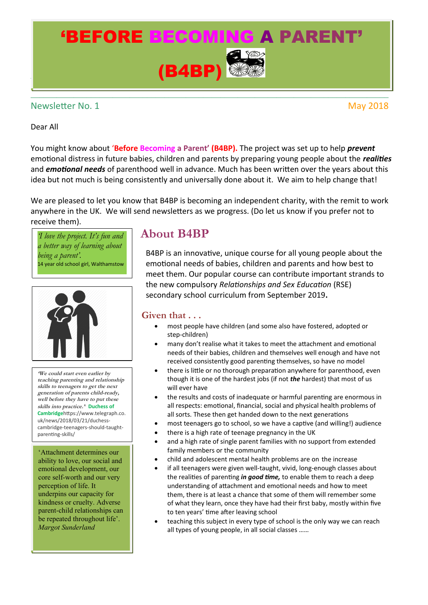# (B4BP) 'BEFORE BECOMING A PARENT'

\_\_\_\_\_\_\_\_\_\_\_\_\_\_\_\_\_\_\_\_\_\_\_\_\_\_\_\_\_\_\_\_\_\_\_\_\_\_\_\_\_\_\_\_\_\_\_\_\_\_\_\_\_\_\_\_\_\_\_\_\_\_\_\_\_\_\_\_\_\_\_\_\_\_\_\_\_\_\_\_\_\_\_

#### Newsletter No. 1 May 2018

#### Dear All

 $\blacksquare$ 

You might know about '**Before Becoming a Parent' (B4BP).** The project was set up to help *prevent* emotional distress in future babies, children and parents by preparing young people about the *realities* and **emotional needs** of parenthood well in advance. Much has been written over the years about this idea but not much is being consistently and universally done about it. We aim to help change that!

We are pleased to let you know that B4BP is becoming an independent charity, with the remit to work anywhere in the UK. We will send newsletters as we progress. (Do let us know if you prefer not to receive them).

*a better way of learning about being a parent'.*  14 year old school girl, Walthamstow



**'We could start even earlier by teaching parenting and relationship skills to teenagers to get the next generation of parents child-ready, well before they have to put these skills into practice." Duchess of Cambridge**https://www.telegraph.co. uk/news/2018/03/21/duchesscambridge-teenagers-should-taughtparenting-skills/

#### 'Attachment determines our

ability to love, our social and emotional development, our core self-worth and our very perception of life. It underpins our capacity for kindness or cruelty. Adverse parent-child relationships can be repeated throughout life'. *Margot Sunderland*

## **About B4BP** *'I love the project. It's fun and*

B4BP is an innovative, unique course for all young people about the emotional needs of babies, children and parents and how best to meet them. Our popular course can contribute important strands to the new compulsory *Relatioships aod Ser Educatio* (RSE) secondary school curriculum from September 2019**.** 

#### **Given that . . .**

- most people have children (and some also have fostered, adopted or step-children)
- many don't realise what it takes to meet the attachment and emotional needs of their babies, children and themselves well enough and have not received consistently good parenting themselves, so have no model
- there is little or no thorough preparation anywhere for parenthood, even though it is one of the hardest jobs (if not *the* hardest) that most of us will ever have
- the results and costs of inadequate or harmful parenting are enormous in all respects: emotional, financial, social and physical health problems of all sorts. These then get handed down to the next generations
- most teenagers go to school, so we have a captive (and willing!) audience
- there is a high rate of teenage pregnancy in the UK
- and a high rate of single parent families with no support from extended family members or the community
- child and adolescent mental health problems are on the increase
- if all teenagers were given well-taught, vivid, long-enough classes about the realities of parenting *in good time*, to enable them to reach a deep understanding of attachment and emotional needs and how to meet them, there is at least a chance that some of them will remember some of what they learn, once they have had their first baby, mostly within five to ten years' time after leaving school
- teaching this subject in every type of school is the only way we can reach all types of young people, in all social classes ......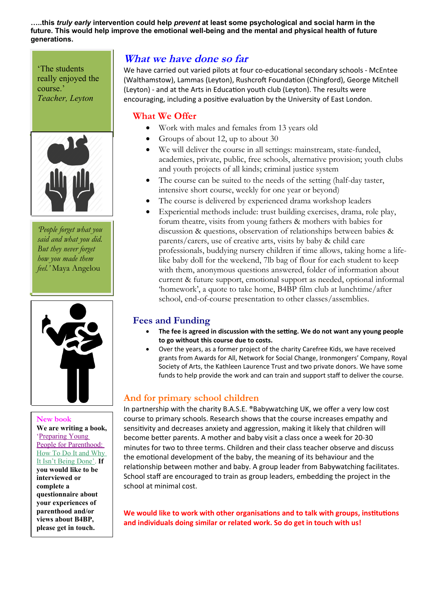**…..this** *truly early* **intervention could help** *prevent* **at least some psychological and social harm in the future. This would help improve the emotional well-being and the mental and physical health of future generations.**

'The students really enjoyed the course.' *Teacher, Leyton*



*'People forget what you said and what you did. But they never forget how you made them feel.'* Maya Angelou



#### **New book**

**We are writing a book,** 'Preparing Young People for Parenthood: How To Do It and Why It Isn't Being Done'. **If you would like to be interviewed or complete a questionnaire about your experiences of parenthood and/or views about B4BP, please get in touch.**

### **What we have done so far**

We have carried out varied pilots at four co-educational secondary schools - McEntee (Walthamstow), Lammas (Leyton), Rushcroft Foundation (Chingford), George Mitchell (Leyton) - and at the Arts in Education youth club (Leyton). The results were encouraging, including a positive evaluation by the University of East London.

#### **What We Offer**

- Work with males and females from 13 years old
- Groups of about 12, up to about 30
- We will deliver the course in all settings: mainstream, state-funded, academies, private, public, free schools, alternative provision; youth clubs and youth projects of all kinds; criminal justice system
- The course can be suited to the needs of the setting (half-day taster, intensive short course, weekly for one year or beyond)
- The course is delivered by experienced drama workshop leaders
- Experiential methods include: trust building exercises, drama, role play, forum theatre, visits from young fathers & mothers with babies for discussion & questions, observation of relationships between babies & parents/carers, use of creative arts, visits by baby & child care professionals, buddying nursery children if time allows, taking home a lifelike baby doll for the weekend, 7lb bag of flour for each student to keep with them, anonymous questions answered, folder of information about current & future support, emotional support as needed, optional informal 'homework', a quote to take home, B4BP film club at lunchtime/after school, end-of-course presentation to other classes/assemblies.

#### **Fees and Funding**

- The fee is agreed in discussion with the setting. We do not want any young people **to go without this course due to costs.**
- Over the years, as a former project of the charity Carefree Kids, we have received grants from Awards for All, Network for Social Change, Ironmongers' Company, Royal Society of Arts, the Kathleen Laurence Trust and two private donors. We have some funds to help provide the work and can train and support staff to deliver the course.

#### **And for primary school children**

In partnership with the charity B.A.S.E. ®Babywatching UK, we offer a very low cost course to primary schools. Research shows that the course increases empathy and sensitivity and decreases anxiety and aggression, making it likely that children will become better parents. A mother and baby visit a class once a week for 20-30 minutes for two to three terms. (hildren and their class teacher observe and discuss the emotional development of the baby, the meaning of its behaviour and the relationship between mother and baby. A group leader from Babywatching facilitates. School staff are encouraged to train as group leaders, embedding the project in the school at minimal cost.

**We would like to work with other organisatons and to talk with groups, insttutons and individuals doing similar or related work. So do get in touch with us!**